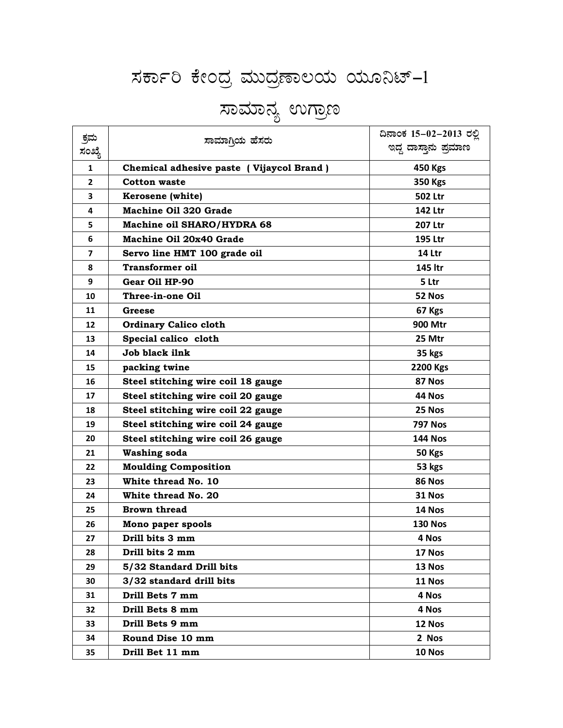## ಸರ್ಕಾರಿ ಕೇಂದ್ರ ಮುದ್ರಣಾಲಯ ಯೂನಿಟ್-1

## ಸಾಮಾನ್ಯ ಉಗ್ರಾಣ

| ಕ್ರಮ         | ಸಾಮಾಗಿಯ ಹೆಸರು                            | ದಿನಾಂಕ 15–02–2013 ರಲ್ಲಿ |
|--------------|------------------------------------------|-------------------------|
| ಸಂಖ್ಯೆ       |                                          | ಇದ್ದ ದಾಸ್ತಾನು ಪ್ರಮಾಣ    |
| 1            | Chemical adhesive paste (Vijaycol Brand) | 450 Kgs                 |
| $\mathbf{2}$ | <b>Cotton waste</b>                      | 350 Kgs                 |
| 3            | Kerosene (white)                         | <b>502 Ltr</b>          |
| 4            | <b>Machine Oil 320 Grade</b>             | 142 Ltr                 |
| 5            | Machine oil SHARO/HYDRA 68               | 207 Ltr                 |
| 6            | Machine Oil 20x40 Grade                  | 195 Ltr                 |
| 7            | Servo line HMT 100 grade oil             | 14 Ltr                  |
| 8            | <b>Transformer oil</b>                   | 145 ltr                 |
| 9            | Gear Oil HP-90                           | 5 Ltr                   |
| 10           | Three-in-one Oil                         | 52 Nos                  |
| 11           | Greese                                   | 67 Kgs                  |
| 12           | <b>Ordinary Calico cloth</b>             | 900 Mtr                 |
| 13           | Special calico cloth                     | 25 Mtr                  |
| 14           | Job black ilnk                           | 35 kgs                  |
| 15           | packing twine                            | 2200 Kgs                |
| 16           | Steel stitching wire coil 18 gauge       | 87 Nos                  |
| 17           | Steel stitching wire coil 20 gauge       | 44 Nos                  |
| 18           | Steel stitching wire coil 22 gauge       | 25 Nos                  |
| 19           | Steel stitching wire coil 24 gauge       | <b>797 Nos</b>          |
| 20           | Steel stitching wire coil 26 gauge       | <b>144 Nos</b>          |
| 21           | <b>Washing soda</b>                      | 50 Kgs                  |
| 22           | <b>Moulding Composition</b>              | 53 kgs                  |
| 23           | White thread No. 10                      | 86 Nos                  |
| 24           | White thread No. 20                      | 31 Nos                  |
| 25           | <b>Brown thread</b>                      | 14 Nos                  |
| 26           | Mono paper spools                        | <b>130 Nos</b>          |
| 27           | Drill bits 3 mm                          | 4 Nos                   |
| 28           | Drill bits 2 mm                          | 17 Nos                  |
| 29           | 5/32 Standard Drill bits                 | 13 Nos                  |
| 30           | 3/32 standard drill bits                 | 11 Nos                  |
| 31           | Drill Bets 7 mm                          | 4 Nos                   |
| 32           | Drill Bets 8 mm                          | 4 Nos                   |
| 33           | Drill Bets 9 mm                          | 12 Nos                  |
| 34           | Round Dise 10 mm                         | 2 Nos                   |
| 35           | Drill Bet 11 mm                          | 10 Nos                  |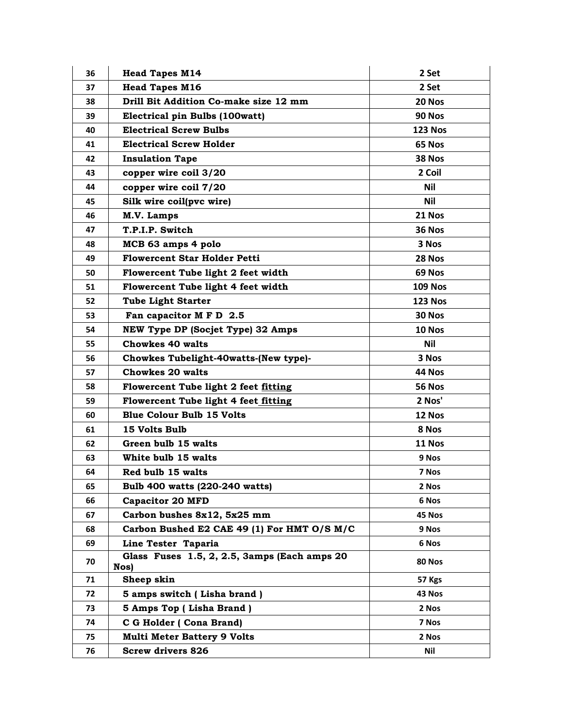| 36 | <b>Head Tapes M14</b>                                | 2 Set          |
|----|------------------------------------------------------|----------------|
| 37 | <b>Head Tapes M16</b>                                | 2 Set          |
| 38 | Drill Bit Addition Co-make size 12 mm                | 20 Nos         |
| 39 | Electrical pin Bulbs (100watt)                       | 90 Nos         |
| 40 | <b>Electrical Screw Bulbs</b>                        | <b>123 Nos</b> |
| 41 | <b>Electrical Screw Holder</b>                       | 65 Nos         |
| 42 | <b>Insulation Tape</b>                               | 38 Nos         |
| 43 | copper wire coil 3/20                                | 2 Coil         |
| 44 | copper wire coil 7/20                                | <b>Nil</b>     |
| 45 | Silk wire coil(pvc wire)                             | Nil            |
| 46 | M.V. Lamps                                           | 21 Nos         |
| 47 | T.P.I.P. Switch                                      | <b>36 Nos</b>  |
| 48 | MCB 63 amps 4 polo                                   | 3 Nos          |
| 49 | <b>Flowercent Star Holder Petti</b>                  | 28 Nos         |
| 50 | Flowercent Tube light 2 feet width                   | 69 Nos         |
| 51 | Flowercent Tube light 4 feet width                   | <b>109 Nos</b> |
| 52 | <b>Tube Light Starter</b>                            | <b>123 Nos</b> |
| 53 | Fan capacitor M F D 2.5                              | <b>30 Nos</b>  |
| 54 | NEW Type DP (Socjet Type) 32 Amps                    | 10 Nos         |
| 55 | <b>Chowkes 40 walts</b>                              | <b>Nil</b>     |
| 56 | Chowkes Tubelight-40watts-(New type)-                | 3 Nos          |
| 57 | <b>Chowkes 20 walts</b>                              | 44 Nos         |
| 58 | Flowercent Tube light 2 feet fitting                 | <b>56 Nos</b>  |
| 59 | Flowercent Tube light 4 feet fitting                 | 2 Nos'         |
| 60 | <b>Blue Colour Bulb 15 Volts</b>                     | 12 Nos         |
| 61 | 15 Volts Bulb                                        | 8 Nos          |
| 62 | Green bulb 15 walts                                  | 11 Nos         |
| 63 | White bulb 15 walts                                  | 9 Nos          |
| 64 | Red bulb 15 walts                                    | 7 Nos          |
| 65 | Bulb 400 watts (220-240 watts)                       | 2 Nos          |
| 66 | <b>Capacitor 20 MFD</b>                              | 6 Nos          |
| 67 | Carbon bushes 8x12, 5x25 mm                          | 45 Nos         |
| 68 | Carbon Bushed E2 CAE 49 (1) For HMT O/S M/C          | 9 Nos          |
| 69 | Line Tester Taparia                                  | 6 Nos          |
| 70 | Glass Fuses 1.5, 2, 2.5, 3amps (Each amps 20<br>Nos) | 80 Nos         |
| 71 | Sheep skin                                           | 57 Kgs         |
| 72 | 5 amps switch (Lisha brand)                          | 43 Nos         |
| 73 | 5 Amps Top (Lisha Brand)                             | 2 Nos          |
| 74 | C G Holder (Cona Brand)                              | 7 Nos          |
| 75 | <b>Multi Meter Battery 9 Volts</b>                   | 2 Nos          |
| 76 | <b>Screw drivers 826</b>                             | Nil            |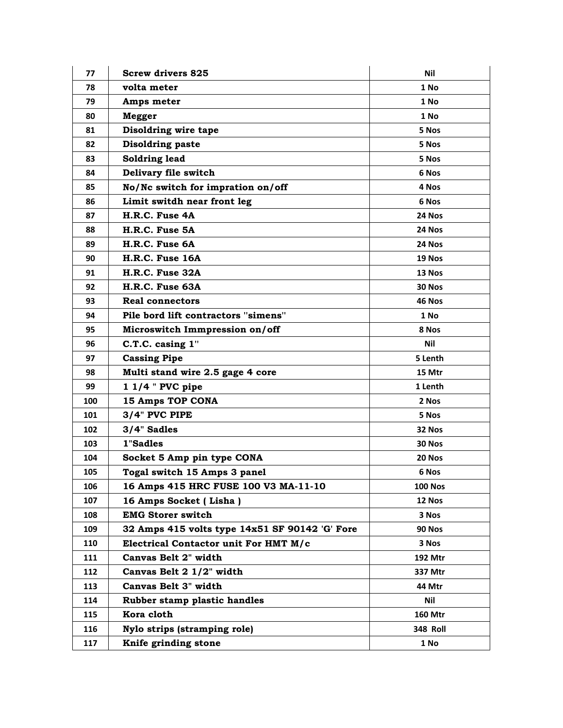| 77  | <b>Screw drivers 825</b>                       | Nil             |
|-----|------------------------------------------------|-----------------|
| 78  | volta meter                                    | 1 No            |
| 79  | Amps meter                                     | 1 No            |
| 80  | Megger                                         | 1 No            |
| 81  | Disoldring wire tape                           | 5 Nos           |
| 82  | <b>Disoldring paste</b>                        | 5 Nos           |
| 83  | Soldring lead                                  | 5 Nos           |
| 84  | Delivary file switch                           | 6 Nos           |
| 85  | No/Nc switch for impration on/off              | 4 Nos           |
| 86  | Limit switdh near front leg                    | 6 Nos           |
| 87  | H.R.C. Fuse 4A                                 | 24 Nos          |
| 88  | H.R.C. Fuse 5A                                 | 24 Nos          |
| 89  | H.R.C. Fuse 6A                                 | 24 Nos          |
| 90  | H.R.C. Fuse 16A                                | 19 Nos          |
| 91  | H.R.C. Fuse 32A                                | 13 Nos          |
| 92  | H.R.C. Fuse 63A                                | 30 Nos          |
| 93  | Real connectors                                | 46 Nos          |
| 94  | Pile bord lift contractors "simens"            | 1 No            |
| 95  | Microswitch Immpression on/off                 | 8 Nos           |
| 96  | C.T.C. casing 1"                               | Nil             |
| 97  | <b>Cassing Pipe</b>                            | 5 Lenth         |
| 98  | Multi stand wire 2.5 gage 4 core               | 15 Mtr          |
| 99  | $11/4$ " PVC pipe                              | 1 Lenth         |
| 100 | <b>15 Amps TOP CONA</b>                        | 2 Nos           |
| 101 | 3/4" PVC PIPE                                  | 5 Nos           |
| 102 | 3/4" Sadles                                    | 32 Nos          |
| 103 | 1"Sadles                                       | 30 Nos          |
| 104 | Socket 5 Amp pin type CONA                     | 20 Nos          |
| 105 | Togal switch 15 Amps 3 panel                   | 6 Nos           |
| 106 | 16 Amps 415 HRC FUSE 100 V3 MA-11-10           | <b>100 Nos</b>  |
| 107 | 16 Amps Socket (Lisha)                         | 12 Nos          |
| 108 | <b>EMG Storer switch</b>                       | 3 Nos           |
| 109 | 32 Amps 415 volts type 14x51 SF 90142 'G' Fore | <b>90 Nos</b>   |
| 110 | Electrical Contactor unit For HMT M/c          | 3 Nos           |
| 111 | Canvas Belt 2" width                           | 192 Mtr         |
| 112 | Canvas Belt 2 1/2" width                       | 337 Mtr         |
| 113 | Canvas Belt 3" width                           | 44 Mtr          |
| 114 | Rubber stamp plastic handles                   | <b>Nil</b>      |
| 115 | Kora cloth                                     | <b>160 Mtr</b>  |
| 116 | Nylo strips (stramping role)                   | <b>348 Roll</b> |
| 117 | Knife grinding stone                           | 1 No            |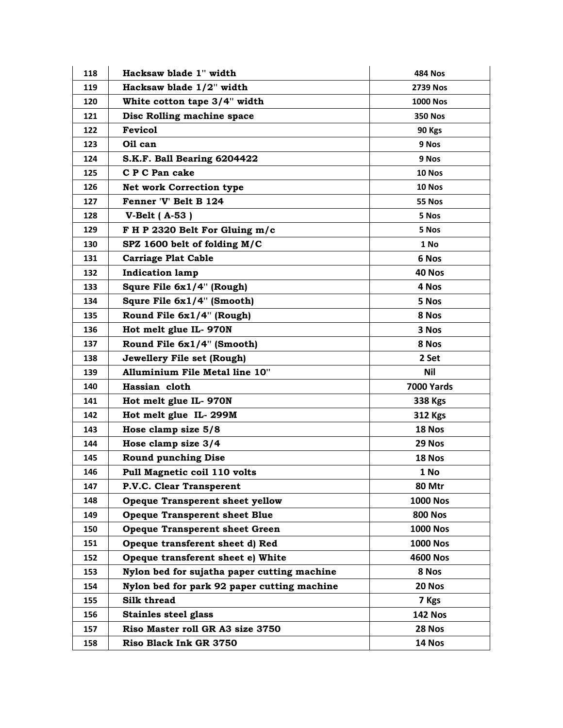| 118 | Hacksaw blade 1" width                      | <b>484 Nos</b>    |
|-----|---------------------------------------------|-------------------|
| 119 | Hacksaw blade 1/2" width                    | <b>2739 Nos</b>   |
| 120 | White cotton tape 3/4" width                | <b>1000 Nos</b>   |
| 121 | Disc Rolling machine space                  | <b>350 Nos</b>    |
| 122 | <b>Fevicol</b>                              | 90 Kgs            |
| 123 | Oil can                                     | 9 Nos             |
| 124 | S.K.F. Ball Bearing 6204422                 | 9 Nos             |
| 125 | C P C Pan cake                              | 10 Nos            |
| 126 | <b>Net work Correction type</b>             | 10 Nos            |
| 127 | Fenner 'V' Belt B 124                       | 55 Nos            |
| 128 | V-Belt $(A-53)$                             | 5 Nos             |
| 129 | F H P 2320 Belt For Gluing m/c              | 5 Nos             |
| 130 | SPZ 1600 belt of folding M/C                | 1 No              |
| 131 | <b>Carriage Plat Cable</b>                  | 6 Nos             |
| 132 | <b>Indication lamp</b>                      | 40 Nos            |
| 133 | Squre File 6x1/4" (Rough)                   | 4 Nos             |
| 134 | Squre File 6x1/4" (Smooth)                  | 5 Nos             |
| 135 | Round File 6x1/4" (Rough)                   | 8 Nos             |
| 136 | Hot melt glue IL-970N                       | 3 Nos             |
| 137 | Round File 6x1/4" (Smooth)                  | 8 Nos             |
| 138 | Jewellery File set (Rough)                  | 2 Set             |
| 139 | Alluminium File Metal line 10"              | Nil               |
| 140 | Hassian cloth                               | <b>7000 Yards</b> |
| 141 | Hot melt glue IL-970N                       | 338 Kgs           |
| 142 | Hot melt glue IL-299M                       | 312 Kgs           |
| 143 | Hose clamp size 5/8                         | 18 Nos            |
| 144 | Hose clamp size 3/4                         | 29 Nos            |
| 145 | <b>Round punching Dise</b>                  | 18 Nos            |
| 146 | Pull Magnetic coil 110 volts                | 1 No              |
| 147 | P.V.C. Clear Transperent                    | 80 Mtr            |
| 148 | <b>Opeque Transperent sheet yellow</b>      | <b>1000 Nos</b>   |
| 149 | <b>Opeque Transperent sheet Blue</b>        | <b>800 Nos</b>    |
| 150 | <b>Opeque Transperent sheet Green</b>       | <b>1000 Nos</b>   |
| 151 | Opeque transferent sheet d) Red             | <b>1000 Nos</b>   |
| 152 | Opeque transferent sheet e) White           | 4600 Nos          |
| 153 | Nylon bed for sujatha paper cutting machine | 8 Nos             |
| 154 | Nylon bed for park 92 paper cutting machine | 20 Nos            |
| 155 | Silk thread                                 | 7 Kgs             |
| 156 | <b>Stainles steel glass</b>                 | <b>142 Nos</b>    |
| 157 | Riso Master roll GR A3 size 3750            | 28 Nos            |
| 158 | Riso Black Ink GR 3750                      | 14 Nos            |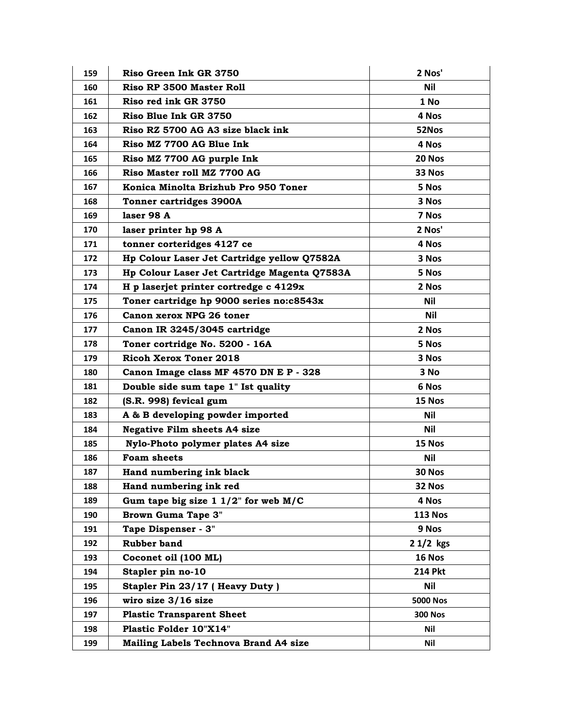| 159 | Riso Green Ink GR 3750                       | 2 Nos'          |
|-----|----------------------------------------------|-----------------|
| 160 | Riso RP 3500 Master Roll                     | <b>Nil</b>      |
| 161 | Riso red ink GR 3750                         | 1 No            |
| 162 | Riso Blue Ink GR 3750                        | 4 Nos           |
| 163 | Riso RZ 5700 AG A3 size black ink            | 52Nos           |
| 164 | Riso MZ 7700 AG Blue Ink                     | 4 Nos           |
| 165 | Riso MZ 7700 AG purple Ink                   | 20 Nos          |
| 166 | Riso Master roll MZ 7700 AG                  | 33 Nos          |
| 167 | Konica Minolta Brizhub Pro 950 Toner         | 5 Nos           |
| 168 | <b>Tonner cartridges 3900A</b>               | 3 Nos           |
| 169 | laser 98 A                                   | 7 Nos           |
| 170 | laser printer hp 98 A                        | 2 Nos'          |
| 171 | tonner corteridges 4127 ce                   | 4 Nos           |
| 172 | Hp Colour Laser Jet Cartridge yellow Q7582A  | 3 Nos           |
| 173 | Hp Colour Laser Jet Cartridge Magenta Q7583A | 5 Nos           |
| 174 | H p laserjet printer cortredge c 4129x       | 2 Nos           |
| 175 | Toner cartridge hp 9000 series no:c8543x     | <b>Nil</b>      |
| 176 | Canon xerox NPG 26 toner                     | Nil             |
| 177 | Canon IR 3245/3045 cartridge                 | 2 Nos           |
| 178 | Toner cortridge No. 5200 - 16A               | 5 Nos           |
| 179 | <b>Ricoh Xerox Toner 2018</b>                | 3 Nos           |
| 180 | Canon Image class MF 4570 DN E P - 328       | 3 No            |
| 181 | Double side sum tape 1" Ist quality          | 6 Nos           |
| 182 | (S.R. 998) fevical gum                       | 15 Nos          |
| 183 | A & B developing powder imported             | Nil             |
| 184 | <b>Negative Film sheets A4 size</b>          | <b>Nil</b>      |
| 185 | Nylo-Photo polymer plates A4 size            | 15 Nos          |
| 186 | <b>Foam sheets</b>                           | Nil             |
| 187 | Hand numbering ink black                     | 30 Nos          |
| 188 | Hand numbering ink red                       | 32 Nos          |
| 189 | Gum tape big size $1\ 1/2$ " for web M/C     | 4 Nos           |
| 190 | <b>Brown Guma Tape 3"</b>                    | <b>113 Nos</b>  |
| 191 | Tape Dispenser - 3"                          | 9 Nos           |
| 192 | <b>Rubber band</b>                           | $21/2$ kgs      |
| 193 | Coconet oil (100 ML)                         | 16 Nos          |
| 194 | Stapler pin no-10                            | <b>214 Pkt</b>  |
| 195 | Stapler Pin 23/17 (Heavy Duty)               | Nil             |
| 196 | wiro size 3/16 size                          | <b>5000 Nos</b> |
| 197 | <b>Plastic Transparent Sheet</b>             | <b>300 Nos</b>  |
| 198 | Plastic Folder 10"X14"                       | Nil             |
| 199 | <b>Mailing Labels Technova Brand A4 size</b> | Nil             |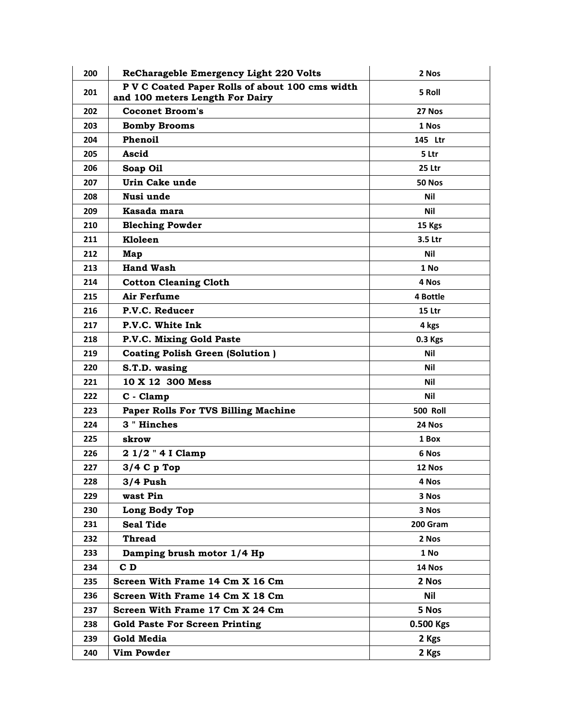| 200 | ReCharageble Emergency Light 220 Volts                                             | 2 Nos           |
|-----|------------------------------------------------------------------------------------|-----------------|
| 201 | P V C Coated Paper Rolls of about 100 cms width<br>and 100 meters Length For Dairy | 5 Roll          |
| 202 | <b>Coconet Broom's</b>                                                             | 27 Nos          |
| 203 | <b>Bomby Brooms</b>                                                                | 1 Nos           |
| 204 | <b>Phenoil</b>                                                                     | 145 Ltr         |
| 205 | Ascid                                                                              | 5 Ltr           |
| 206 | Soap Oil                                                                           | 25 Ltr          |
| 207 | Urin Cake unde                                                                     | 50 Nos          |
| 208 | Nusi unde                                                                          | <b>Nil</b>      |
| 209 | Kasada mara                                                                        | Nil             |
| 210 | <b>Bleching Powder</b>                                                             | 15 Kgs          |
| 211 | Kloleen                                                                            | 3.5 Ltr         |
| 212 | Map                                                                                | Nil             |
| 213 | <b>Hand Wash</b>                                                                   | 1 No            |
| 214 | <b>Cotton Cleaning Cloth</b>                                                       | 4 Nos           |
| 215 | <b>Air Ferfume</b>                                                                 | 4 Bottle        |
| 216 | P.V.C. Reducer                                                                     | 15 Ltr          |
| 217 | P.V.C. White Ink                                                                   | 4 kgs           |
| 218 | P.V.C. Mixing Gold Paste                                                           | 0.3 Kgs         |
| 219 | <b>Coating Polish Green (Solution)</b>                                             | Nil             |
| 220 | S.T.D. wasing                                                                      | Nil             |
| 221 | 10 X 12 300 Mess                                                                   | Nil             |
| 222 | C - Clamp                                                                          | Nil             |
| 223 | Paper Rolls For TVS Billing Machine                                                | <b>500 Roll</b> |
| 224 | 3 " Hinches                                                                        | 24 Nos          |
| 225 | skrow                                                                              | 1 Box           |
| 226 | 2 1/2 " 4 I Clamp                                                                  | 6 Nos           |
| 227 | $3/4$ C p Top                                                                      | 12 Nos          |
| 228 | 3/4 Push                                                                           | 4 Nos           |
| 229 | wast Pin                                                                           | 3 Nos           |
| 230 | Long Body Top                                                                      | 3 Nos           |
| 231 | <b>Seal Tide</b>                                                                   | 200 Gram        |
| 232 | <b>Thread</b>                                                                      | 2 Nos           |
| 233 | Damping brush motor 1/4 Hp                                                         | 1 No            |
| 234 | $C$ D                                                                              | 14 Nos          |
| 235 | Screen With Frame 14 Cm X 16 Cm                                                    | 2 Nos           |
| 236 | Screen With Frame 14 Cm X 18 Cm                                                    | Nil             |
| 237 | Screen With Frame 17 Cm X 24 Cm                                                    | 5 Nos           |
| 238 | <b>Gold Paste For Screen Printing</b>                                              | 0.500 Kgs       |
| 239 | Gold Media                                                                         | 2 Kgs           |
| 240 | <b>Vim Powder</b>                                                                  | 2 Kgs           |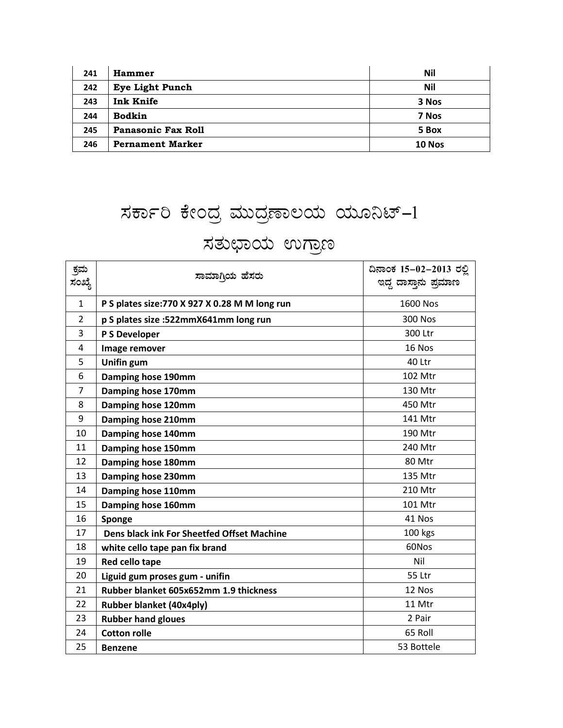| 241 | <b>Hammer</b>           | Nil    |
|-----|-------------------------|--------|
| 242 | <b>Eye Light Punch</b>  | Nil    |
| 243 | Ink Knife               | 3 Nos  |
| 244 | <b>Bodkin</b>           | 7 Nos  |
| 245 | Panasonic Fax Roll      | 5 Box  |
| 246 | <b>Pernament Marker</b> | 10 Nos |

## ಸರ್ಕಾರಿ ಕೇಂದ್ರ ಮುದ್ರಣಾಲಯ ಯೂನಿಟ್-1

## ಸತುಛಾಯ ಉಗ್ರಾಣ

| ಕ್ರಮ<br>ಸಂಖ್ಯೆ | ಸಾಮಾಗಿಯ ಹೆಸರು                                  | ದಿನಾಂಕ 15-02-2013 ರಲ್ಲಿ<br>ಇದ್ದ ದಾಸ್ತಾನು ಪ್ರಮಾಣ |
|----------------|------------------------------------------------|-------------------------------------------------|
| $\mathbf{1}$   | P S plates size: 770 X 927 X 0.28 M M long run | 1600 Nos                                        |
| $\overline{2}$ | p S plates size :522mmX641mm long run          | <b>300 Nos</b>                                  |
| 3              | P S Developer                                  | 300 Ltr                                         |
| 4              | Image remover                                  | 16 Nos                                          |
| 5              | Unifin gum                                     | 40 Ltr                                          |
| 6              | Damping hose 190mm                             | 102 Mtr                                         |
| 7              | Damping hose 170mm                             | 130 Mtr                                         |
| 8              | Damping hose 120mm                             | 450 Mtr                                         |
| 9              | Damping hose 210mm                             | 141 Mtr                                         |
| 10             | Damping hose 140mm                             | 190 Mtr                                         |
| 11             | Damping hose 150mm                             | 240 Mtr                                         |
| 12             | Damping hose 180mm                             | 80 Mtr                                          |
| 13             | Damping hose 230mm                             | 135 Mtr                                         |
| 14             | Damping hose 110mm                             | 210 Mtr                                         |
| 15             | Damping hose 160mm                             | 101 Mtr                                         |
| 16             | Sponge                                         | 41 Nos                                          |
| 17             | Dens black ink For Sheetfed Offset Machine     | 100 kgs                                         |
| 18             | white cello tape pan fix brand                 | 60Nos                                           |
| 19             | Red cello tape                                 | Nil                                             |
| 20             | Liguid gum proses gum - unifin                 | 55 Ltr                                          |
| 21             | Rubber blanket 605x652mm 1.9 thickness         | 12 Nos                                          |
| 22             | <b>Rubber blanket (40x4ply)</b>                | 11 Mtr                                          |
| 23             | <b>Rubber hand gloues</b>                      | 2 Pair                                          |
| 24             | <b>Cotton rolle</b>                            | 65 Roll                                         |
| 25             | <b>Benzene</b>                                 | 53 Bottele                                      |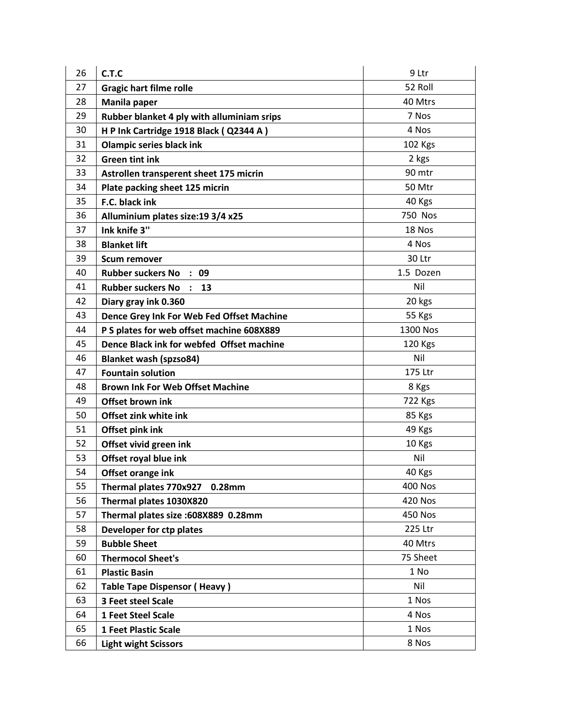| 26 | C.T.C                                      | 9 Ltr          |
|----|--------------------------------------------|----------------|
| 27 | <b>Gragic hart filme rolle</b>             | 52 Roll        |
| 28 | Manila paper                               | 40 Mtrs        |
| 29 | Rubber blanket 4 ply with alluminiam srips | 7 Nos          |
| 30 | H P Ink Cartridge 1918 Black (Q2344 A)     | 4 Nos          |
| 31 | <b>Olampic series black ink</b>            | 102 Kgs        |
| 32 | <b>Green tint ink</b>                      | 2 kgs          |
| 33 | Astrollen transperent sheet 175 micrin     | 90 mtr         |
| 34 | Plate packing sheet 125 micrin             | 50 Mtr         |
| 35 | F.C. black ink                             | 40 Kgs         |
| 36 | Alluminium plates size: 19 3/4 x25         | 750 Nos        |
| 37 | Ink knife 3"                               | 18 Nos         |
| 38 | <b>Blanket lift</b>                        | 4 Nos          |
| 39 | <b>Scum remover</b>                        | 30 Ltr         |
| 40 | Rubber suckers No : 09                     | 1.5 Dozen      |
| 41 | <b>Rubber suckers No :</b><br>13           | Nil            |
| 42 | Diary gray ink 0.360                       | 20 kgs         |
| 43 | Dence Grey Ink For Web Fed Offset Machine  | 55 Kgs         |
| 44 | P S plates for web offset machine 608X889  | 1300 Nos       |
| 45 | Dence Black ink for webfed Offset machine  | 120 Kgs        |
| 46 | <b>Blanket wash (spzso84)</b>              | Nil            |
| 47 | <b>Fountain solution</b>                   | 175 Ltr        |
| 48 | <b>Brown Ink For Web Offset Machine</b>    | 8 Kgs          |
| 49 | Offset brown ink                           | <b>722 Kgs</b> |
| 50 | Offset zink white ink                      | 85 Kgs         |
| 51 | Offset pink ink                            | 49 Kgs         |
| 52 | Offset vivid green ink                     | 10 Kgs         |
| 53 | Offset royal blue ink                      | Nil            |
| 54 | Offset orange ink                          | 40 Kgs         |
| 55 | Thermal plates 770x927 0.28mm              | <b>400 Nos</b> |
| 56 | Thermal plates 1030X820                    | <b>420 Nos</b> |
| 57 | Thermal plates size :608X889 0.28mm        | 450 Nos        |
| 58 | Developer for ctp plates                   | 225 Ltr        |
| 59 | <b>Bubble Sheet</b>                        | 40 Mtrs        |
| 60 | <b>Thermocol Sheet's</b>                   | 75 Sheet       |
| 61 | <b>Plastic Basin</b>                       | 1 No           |
| 62 | <b>Table Tape Dispensor (Heavy)</b>        | Nil            |
| 63 | 3 Feet steel Scale                         | 1 Nos          |
| 64 | 1 Feet Steel Scale                         | 4 Nos          |
| 65 | <b>1 Feet Plastic Scale</b>                | 1 Nos          |
| 66 | <b>Light wight Scissors</b>                | 8 Nos          |